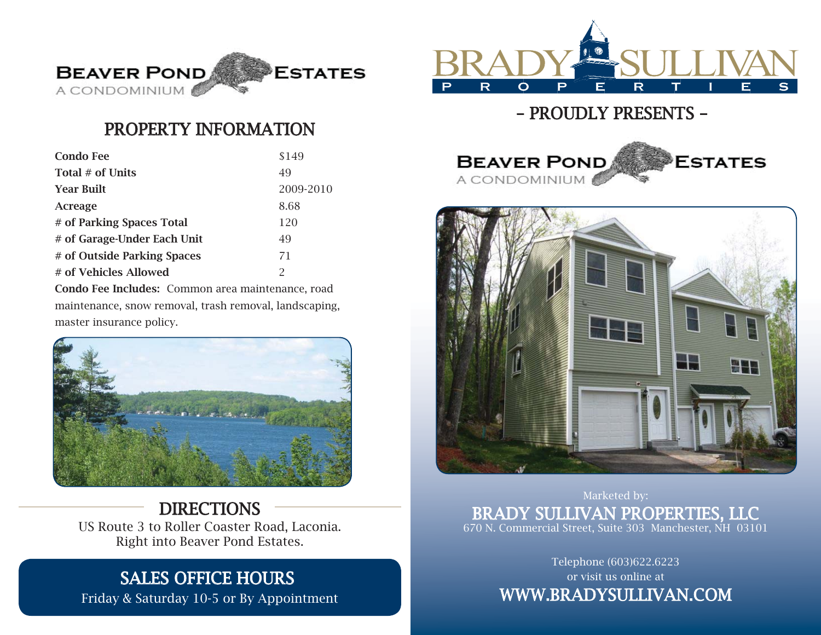

## PROPERTY INFORMATION

| <b>Condo Fee</b>            | \$149         |
|-----------------------------|---------------|
| Total $#$ of Units          | 49            |
| <b>Year Built</b>           | 2009-2010     |
| Acreage                     | 8.68          |
| # of Parking Spaces Total   | 120           |
| # of Garage-Under Each Unit | 49            |
| # of Outside Parking Spaces | 71            |
| # of Vehicles Allowed       | $\mathcal{P}$ |

Condo Fee Includes: Common area maintenance, road maintenance, snow removal, trash removal, landscaping, master insurance policy.



DIRECTIONS US Route 3 to Roller Coaster Road, Laconia. Right into Beaver Pond Estates.

## SALES OFFICE HOURS

Friday & Saturday 10-5 or By Appointment



## – PROUDLY PRESENTS –





Marketed by: BRADY SULLIVAN PROPERTIES, LLC 670 N. Commercial Street, Suite 303 Manchester, NH 03101

> Telephone (603)622.6223 or visit us online at WWW.BRADYSULLIVAN.COM WW.BRADYSULLIVAN.COM